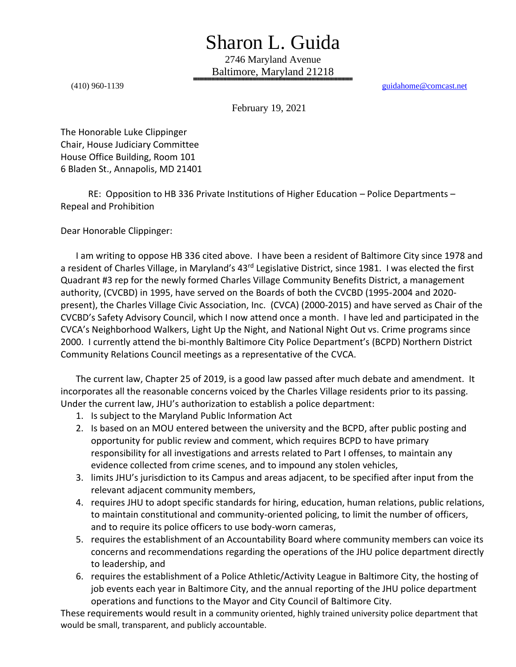## Sharon L. Guida

2746 Maryland Avenue Baltimore, Maryland 21218 ▓▓▓▓▓▓▓▓▓▓▓▓▓▓▓▓▓▓▓▓▓▓▓▓▓▓▓▓▓▓▓▓▓▓▓▓▓▓▓▓▓▓▓▓▓▓▓▓▓▓▓▓▓▓▓▓▓▓▓▓▓▓▓▓▓▓▓▓▓▓▓▓▓▓▓▓▓▓▓▓▓▓▓▓▓▓▓▓▓▓▓▓▓▓▓▓▓▓▓▓▓▓▓▓▓

(410) 960-1139 [guidahome@comcast.net](mailto:guidahome@comcast.net)

February 19, 2021

The Honorable Luke Clippinger Chair, House Judiciary Committee House Office Building, Room 101 6 Bladen St., Annapolis, MD 21401

 RE: Opposition to HB 336 Private Institutions of Higher Education – Police Departments – Repeal and Prohibition

Dear Honorable Clippinger:

I am writing to oppose HB 336 cited above. I have been a resident of Baltimore City since 1978 and a resident of Charles Village, in Maryland's 43<sup>rd</sup> Legislative District, since 1981. I was elected the first Quadrant #3 rep for the newly formed Charles Village Community Benefits District, a management authority, (CVCBD) in 1995, have served on the Boards of both the CVCBD (1995-2004 and 2020 present), the Charles Village Civic Association, Inc. (CVCA) (2000-2015) and have served as Chair of the CVCBD's Safety Advisory Council, which I now attend once a month. I have led and participated in the CVCA's Neighborhood Walkers, Light Up the Night, and National Night Out vs. Crime programs since 2000. I currently attend the bi-monthly Baltimore City Police Department's (BCPD) Northern District Community Relations Council meetings as a representative of the CVCA.

The current law, Chapter 25 of 2019, is a good law passed after much debate and amendment. It incorporates all the reasonable concerns voiced by the Charles Village residents prior to its passing. Under the current law, JHU's authorization to establish a police department:

- 1. Is subject to the Maryland Public Information Act
- 2. Is based on an MOU entered between the university and the BCPD, after public posting and opportunity for public review and comment, which requires BCPD to have primary responsibility for all investigations and arrests related to Part I offenses, to maintain any evidence collected from crime scenes, and to impound any stolen vehicles,
- 3. limits JHU's jurisdiction to its Campus and areas adjacent, to be specified after input from the relevant adjacent community members,
- 4. requires JHU to adopt specific standards for hiring, education, human relations, public relations, to maintain constitutional and community-oriented policing, to limit the number of officers, and to require its police officers to use body-worn cameras,
- 5. requires the establishment of an Accountability Board where community members can voice its concerns and recommendations regarding the operations of the JHU police department directly to leadership, and
- 6. requires the establishment of a Police Athletic/Activity League in Baltimore City, the hosting of job events each year in Baltimore City, and the annual reporting of the JHU police department operations and functions to the Mayor and City Council of Baltimore City.

These requirements would result in a community oriented, highly trained university police department that would be small, transparent, and publicly accountable.